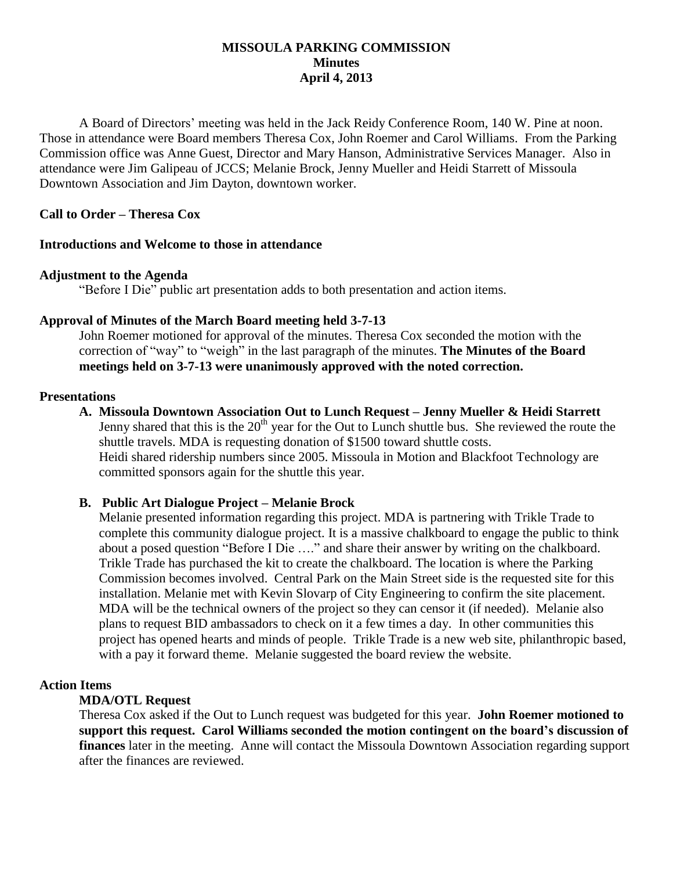### **MISSOULA PARKING COMMISSION Minutes April 4, 2013**

A Board of Directors' meeting was held in the Jack Reidy Conference Room, 140 W. Pine at noon. Those in attendance were Board members Theresa Cox, John Roemer and Carol Williams. From the Parking Commission office was Anne Guest, Director and Mary Hanson, Administrative Services Manager. Also in attendance were Jim Galipeau of JCCS; Melanie Brock, Jenny Mueller and Heidi Starrett of Missoula Downtown Association and Jim Dayton, downtown worker.

## **Call to Order – Theresa Cox**

#### **Introductions and Welcome to those in attendance**

#### **Adjustment to the Agenda**

"Before I Die" public art presentation adds to both presentation and action items.

#### **Approval of Minutes of the March Board meeting held 3-7-13**

John Roemer motioned for approval of the minutes. Theresa Cox seconded the motion with the correction of "way" to "weigh" in the last paragraph of the minutes. **The Minutes of the Board meetings held on 3-7-13 were unanimously approved with the noted correction.**

#### **Presentations**

**A. Missoula Downtown Association Out to Lunch Request – Jenny Mueller & Heidi Starrett** Jenny shared that this is the  $20<sup>th</sup>$  year for the Out to Lunch shuttle bus. She reviewed the route the shuttle travels. MDA is requesting donation of \$1500 toward shuttle costs. Heidi shared ridership numbers since 2005. Missoula in Motion and Blackfoot Technology are committed sponsors again for the shuttle this year.

#### **B. Public Art Dialogue Project – Melanie Brock**

Melanie presented information regarding this project. MDA is partnering with Trikle Trade to complete this community dialogue project. It is a massive chalkboard to engage the public to think about a posed question "Before I Die …." and share their answer by writing on the chalkboard. Trikle Trade has purchased the kit to create the chalkboard. The location is where the Parking Commission becomes involved. Central Park on the Main Street side is the requested site for this installation. Melanie met with Kevin Slovarp of City Engineering to confirm the site placement. MDA will be the technical owners of the project so they can censor it (if needed). Melanie also plans to request BID ambassadors to check on it a few times a day. In other communities this project has opened hearts and minds of people. Trikle Trade is a new web site, philanthropic based, with a pay it forward theme. Melanie suggested the board review the website.

#### **Action Items**

#### **MDA/OTL Request**

Theresa Cox asked if the Out to Lunch request was budgeted for this year. **John Roemer motioned to support this request. Carol Williams seconded the motion contingent on the board's discussion of finances** later in the meeting. Anne will contact the Missoula Downtown Association regarding support after the finances are reviewed.